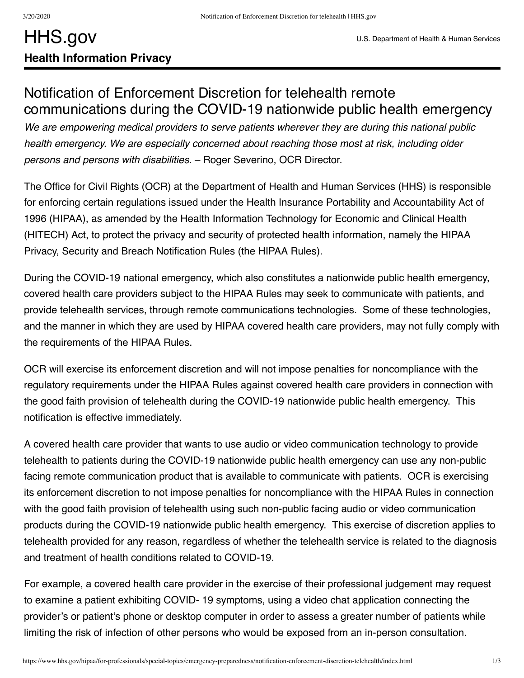## Notification of Enforcement Discretion for telehealth remote communications during the COVID-19 nationwide public health emergency

*We are empowering medical providers to serve patients wherever they are during this national public health emergency. We are especially concerned about reaching those most at risk, including older persons and persons with disabilities*. – Roger Severino, OCR Director.

The Office for Civil Rights (OCR) at the Department of Health and Human Services (HHS) is responsible for enforcing certain regulations issued under the Health Insurance Portability and Accountability Act of 1996 (HIPAA), as amended by the Health Information Technology for Economic and Clinical Health (HITECH) Act, to protect the privacy and security of protected health information, namely the HIPAA Privacy, Security and Breach Notification Rules (the HIPAA Rules).

During the COVID-19 national emergency, which also constitutes a nationwide public health emergency, covered health care providers subject to the HIPAA Rules may seek to communicate with patients, and provide telehealth services, through remote communications technologies. Some of these technologies, and the manner in which they are used by HIPAA covered health care providers, may not fully comply with the requirements of the HIPAA Rules.

OCR will exercise its enforcement discretion and will not impose penalties for noncompliance with the regulatory requirements under the HIPAA Rules against covered health care providers in connection with the good faith provision of telehealth during the COVID-19 nationwide public health emergency. This notification is effective immediately.

A covered health care provider that wants to use audio or video communication technology to provide telehealth to patients during the COVID-19 nationwide public health emergency can use any non-public facing remote communication product that is available to communicate with patients. OCR is exercising its enforcement discretion to not impose penalties for noncompliance with the HIPAA Rules in connection with the good faith provision of telehealth using such non-public facing audio or video communication products during the COVID-19 nationwide public health emergency. This exercise of discretion applies to telehealth provided for any reason, regardless of whether the telehealth service is related to the diagnosis and treatment of health conditions related to COVID-19.

For example, a covered health care provider in the exercise of their professional judgement may request to examine a patient exhibiting COVID- 19 symptoms, using a video chat application connecting the provider's or patient's phone or desktop computer in order to assess a greater number of patients while limiting the risk of infection of other persons who would be exposed from an in-person consultation.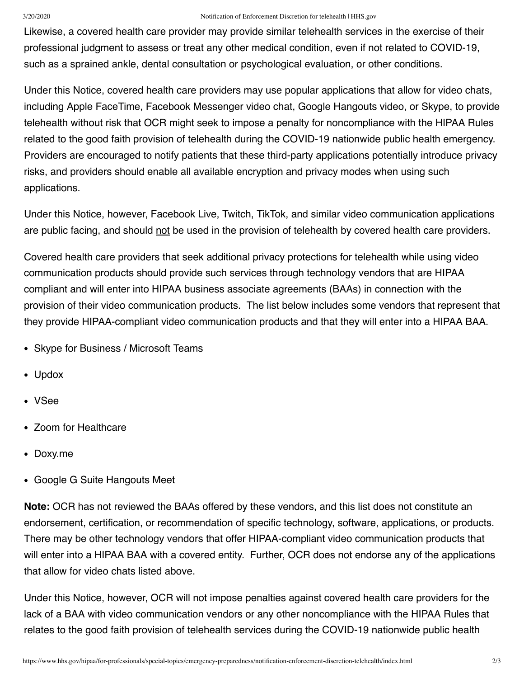## 3/20/2020 Notification of Enforcement Discretion for telehealth | HHS.gov

Likewise, a covered health care provider may provide similar telehealth services in the exercise of their professional judgment to assess or treat any other medical condition, even if not related to COVID-19, such as a sprained ankle, dental consultation or psychological evaluation, or other conditions.

Under this Notice, covered health care providers may use popular applications that allow for video chats, including Apple FaceTime, Facebook Messenger video chat, Google Hangouts video, or Skype, to provide telehealth without risk that OCR might seek to impose a penalty for noncompliance with the HIPAA Rules related to the good faith provision of telehealth during the COVID-19 nationwide public health emergency. Providers are encouraged to notify patients that these third-party applications potentially introduce privacy risks, and providers should enable all available encryption and privacy modes when using such applications.

Under this Notice, however, Facebook Live, Twitch, TikTok, and similar video communication applications are public facing, and should not be used in the provision of telehealth by covered health care providers.

Covered health care providers that seek additional privacy protections for telehealth while using video communication products should provide such services through technology vendors that are HIPAA compliant and will enter into HIPAA business associate agreements (BAAs) in connection with the provision of their video communication products. The list below includes some vendors that represent that they provide HIPAA-compliant video communication products and that they will enter into a HIPAA BAA.

- Skype for Business / Microsoft Teams
- Updox
- VSee
- Zoom for Healthcare
- Doxy.me
- Google G Suite Hangouts Meet

**Note:** OCR has not reviewed the BAAs offered by these vendors, and this list does not constitute an endorsement, certification, or recommendation of specific technology, software, applications, or products. There may be other technology vendors that offer HIPAA-compliant video communication products that will enter into a HIPAA BAA with a covered entity. Further, OCR does not endorse any of the applications that allow for video chats listed above.

Under this Notice, however, OCR will not impose penalties against covered health care providers for the lack of a BAA with video communication vendors or any other noncompliance with the HIPAA Rules that relates to the good faith provision of telehealth services during the COVID-19 nationwide public health